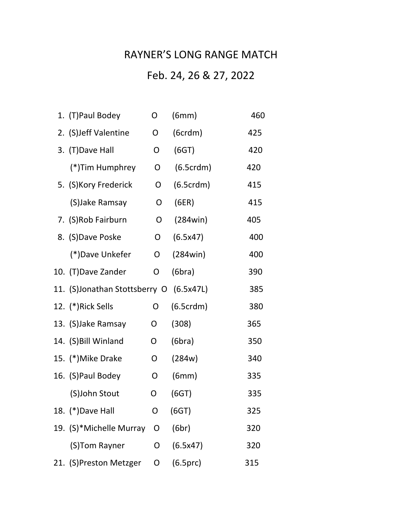## RAYNER'S LONG RANGE MATCH

## Feb. 24, 26 & 27, 2022

|  | 1. (T)Paul Bodey              | O | (6mm)     | 460 |
|--|-------------------------------|---|-----------|-----|
|  | 2. (S)Jeff Valentine          | O | (6crdm)   | 425 |
|  | 3. (T) Dave Hall              | O | (6GT)     | 420 |
|  | (*)Tim Humphrey               | O | (6.5crdm) | 420 |
|  | 5. (S) Kory Frederick         | 0 | (6.5crdm) | 415 |
|  | (S)Jake Ramsay                | O | (6ER)     | 415 |
|  | 7. (S)Rob Fairburn            | O | (284win)  | 405 |
|  | 8. (S)Dave Poske              | O | (6.5x47)  | 400 |
|  | (*)Dave Unkefer               | O | (284win)  | 400 |
|  | 10. (T) Dave Zander           | O | (6bra)    | 390 |
|  | 11. (S)Jonathan Stottsberry O |   | (6.5x47L) | 385 |
|  | 12. (*)Rick Sells             | O | (6.5crdm) | 380 |
|  | 13. (S) Jake Ramsay           | O | (308)     | 365 |
|  | 14. (S) Bill Winland          | O | (6bra)    | 350 |
|  | 15. (*) Mike Drake            | O | (284w)    | 340 |
|  | 16. (S) Paul Bodey            | O | (6mm)     | 335 |
|  | (S)John Stout                 | O | (6GT)     | 335 |
|  | 18. (*) Dave Hall             | O | (6GT)     | 325 |
|  | 19. (S)*Michelle Murray       | O | (6br)     | 320 |
|  | (S)Tom Rayner                 | O | (6.5x47)  | 320 |
|  | 21. (S)Preston Metzger        | O | (6.5prc)  | 315 |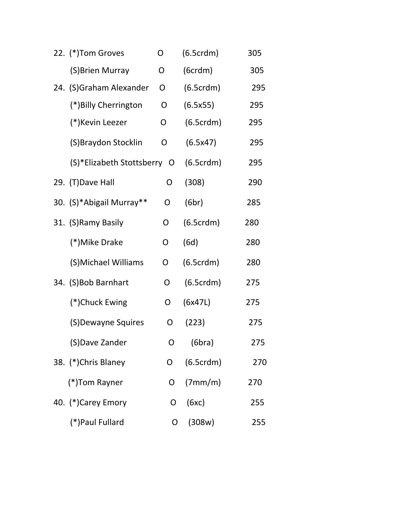| 22. (*) Tom Groves          | O | (6.5crdm) | 305 |  |
|-----------------------------|---|-----------|-----|--|
| (S) Brien Murray            | O | (6crdm)   | 305 |  |
| 24. (S) Graham Alexander    | O | (6.5crdm) | 295 |  |
| (*) Billy Cherrington       | O | (6.5x55)  | 295 |  |
| (*)Kevin Leezer             | O | (6.5crdm) | 295 |  |
| (S)Braydon Stocklin         | 0 | (6.5x47)  | 295 |  |
| (S)*Elizabeth Stottsberry O |   | (6.5crdm) | 295 |  |
| 29. (T) Dave Hall           | O | (308)     | 290 |  |
| 30. (S)*Abigail Murray**    | O | (6br)     | 285 |  |
| 31. (S) Ramy Basily         | O | (6.5crdm) | 280 |  |
| (*)Mike Drake               | O | (6d)      | 280 |  |
| (S)Michael Williams         | O | (6.5crdm) | 280 |  |
| 34. (S)Bob Barnhart         | O | (6.5crdm) | 275 |  |
| (*)Chuck Ewing              | O | (6x47L)   | 275 |  |
| (S) Dewayne Squires         | O | (223)     | 275 |  |
| (S)Dave Zander              |   | (6bra)    | 275 |  |
| 38. (*)Chris Blaney         | O | (6.5crdm) | 270 |  |
| (*)Tom Rayner               | O | (7mm/m)   | 270 |  |
| 40. (*)Carey Emory          | O | (6xc)     | 255 |  |
| (*) Paul Fullard            | O | (308w)    | 255 |  |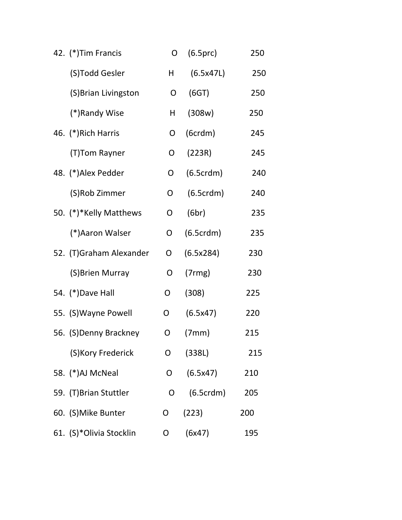| 42. (*) Tim Francis     | O            | (6.5prc)  | 250 |
|-------------------------|--------------|-----------|-----|
| (S)Todd Gesler          | H.           | (6.5x47L) | 250 |
| (S) Brian Livingston    | O            | (6GT)     | 250 |
| (*)Randy Wise           | н            | (308w)    | 250 |
| 46. (*) Rich Harris     | O            | (6crdm)   | 245 |
| (T)Tom Rayner           | O            | (223R)    | 245 |
| 48. (*)Alex Pedder      | O            | (6.5crdm) | 240 |
| (S)Rob Zimmer           | O            | (6.5crdm) | 240 |
| 50. (*)*Kelly Matthews  | O            | (6br)     | 235 |
| (*) Aaron Walser        | O            | (6.5crdm) | 235 |
| 52. (T)Graham Alexander | O            | (6.5x284) | 230 |
| (S) Brien Murray        | O            | (7rmg)    | 230 |
| 54. (*) Dave Hall       | O            | (308)     | 225 |
| 55. (S) Wayne Powell    | O            | (6.5x47)  | 220 |
| 56. (S)Denny Brackney   | O            | (7mm)     | 215 |
| (S) Kory Frederick      | O            | (338L)    | 215 |
| 58. (*)AJ McNeal        | $\mathsf{O}$ | (6.5x47)  | 210 |
| 59. (T)Brian Stuttler   | O            | (6.5crdm) | 205 |
| 60. (S) Mike Bunter     | O            | (223)     | 200 |
| 61. (S)*Olivia Stocklin | 0            | (6x47)    | 195 |